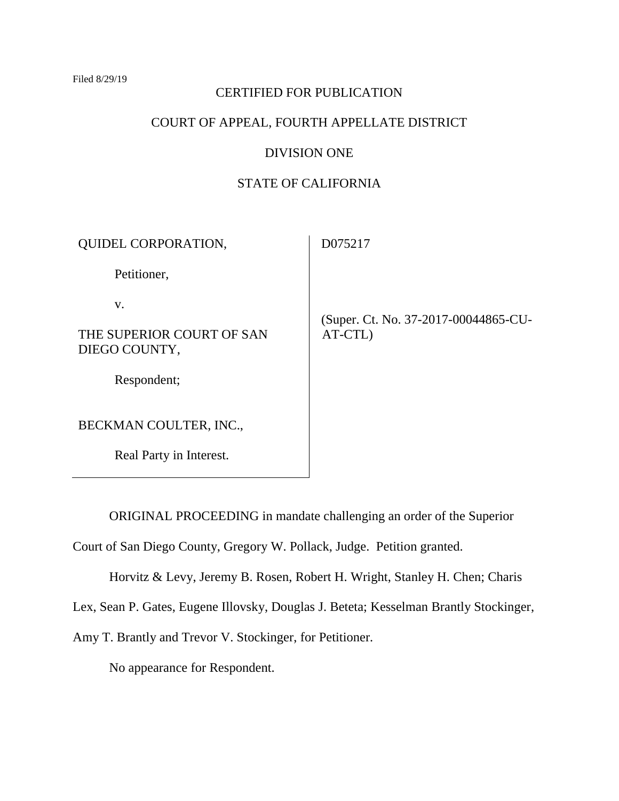#### Filed 8/29/19

### CERTIFIED FOR PUBLICATION

# COURT OF APPEAL, FOURTH APPELLATE DISTRICT

# DIVISION ONE

# STATE OF CALIFORNIA

| <b>QUIDEL CORPORATION,</b>                 | D075217                                         |
|--------------------------------------------|-------------------------------------------------|
| Petitioner,                                |                                                 |
| V.                                         |                                                 |
| THE SUPERIOR COURT OF SAN<br>DIEGO COUNTY, | (Super. Ct. No. 37-2017-00044865-CU-<br>AT-CTL) |
| Respondent;                                |                                                 |
| BECKMAN COULTER, INC.,                     |                                                 |
| Real Party in Interest.                    |                                                 |

ORIGINAL PROCEEDING in mandate challenging an order of the Superior

Court of San Diego County, Gregory W. Pollack, Judge. Petition granted.

Horvitz & Levy, Jeremy B. Rosen, Robert H. Wright, Stanley H. Chen; Charis

Lex, Sean P. Gates, Eugene Illovsky, Douglas J. Beteta; Kesselman Brantly Stockinger,

Amy T. Brantly and Trevor V. Stockinger, for Petitioner.

No appearance for Respondent.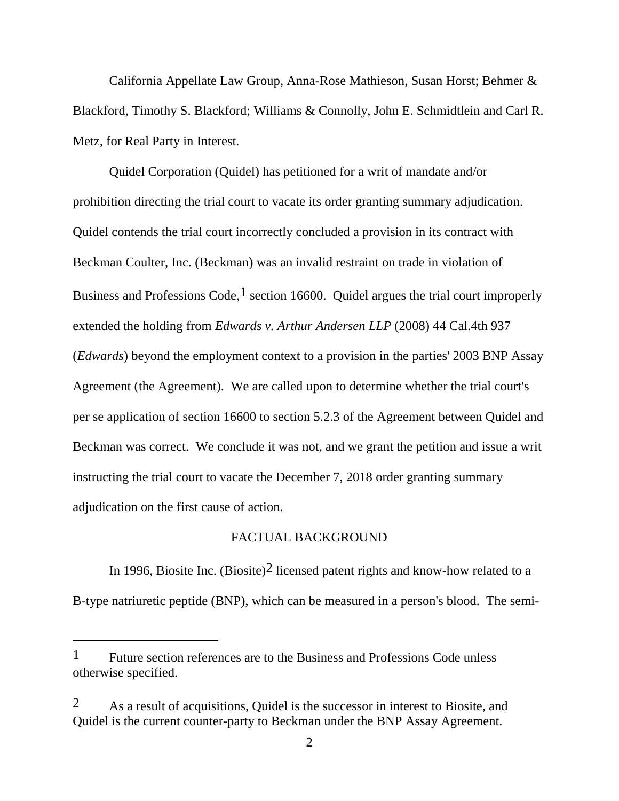California Appellate Law Group, Anna-Rose Mathieson, Susan Horst; Behmer & Blackford, Timothy S. Blackford; Williams & Connolly, John E. Schmidtlein and Carl R. Metz, for Real Party in Interest.

Quidel Corporation (Quidel) has petitioned for a writ of mandate and/or prohibition directing the trial court to vacate its order granting summary adjudication. Quidel contends the trial court incorrectly concluded a provision in its contract with Beckman Coulter, Inc. (Beckman) was an invalid restraint on trade in violation of Business and Professions Code,  $\frac{1}{1}$  section 16600. Quidel argues the trial court improperly extended the holding from *Edwards v. Arthur Andersen LLP* (2008) 44 Cal.4th 937 (*Edwards*) beyond the employment context to a provision in the parties' 2003 BNP Assay Agreement (the Agreement). We are called upon to determine whether the trial court's per se application of section 16600 to section 5.2.3 of the Agreement between Quidel and Beckman was correct. We conclude it was not, and we grant the petition and issue a writ instructing the trial court to vacate the December 7, 2018 order granting summary adjudication on the first cause of action.

### FACTUAL BACKGROUND

In 1996, Biosite Inc. (Biosite)<sup>2</sup> licensed patent rights and know-how related to a B-type natriuretic peptide (BNP), which can be measured in a person's blood. The semi-

<sup>&</sup>lt;sup>1</sup> Future section references are to the Business and Professions Code unless otherwise specified.

<sup>2</sup> As a result of acquisitions, Quidel is the successor in interest to Biosite, and Quidel is the current counter-party to Beckman under the BNP Assay Agreement.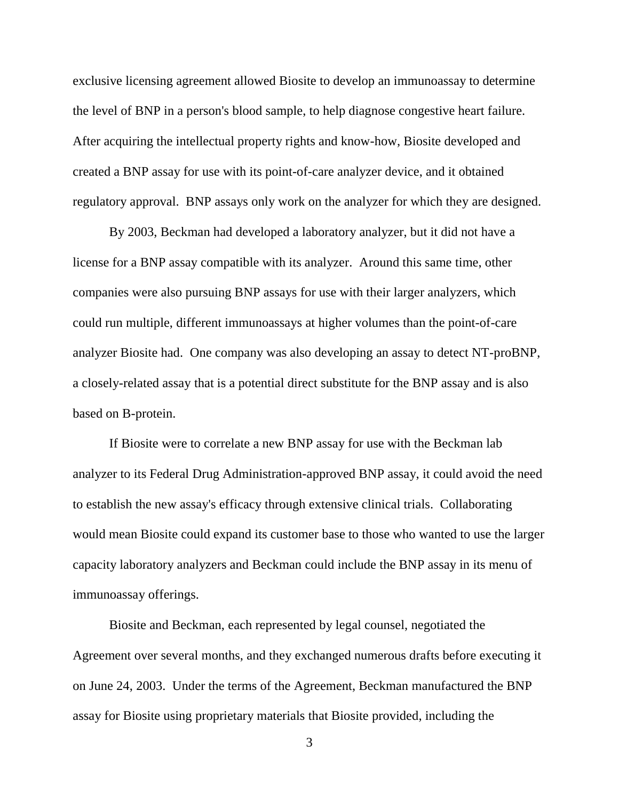exclusive licensing agreement allowed Biosite to develop an immunoassay to determine the level of BNP in a person's blood sample, to help diagnose congestive heart failure. After acquiring the intellectual property rights and know-how, Biosite developed and created a BNP assay for use with its point-of-care analyzer device, and it obtained regulatory approval. BNP assays only work on the analyzer for which they are designed.

By 2003, Beckman had developed a laboratory analyzer, but it did not have a license for a BNP assay compatible with its analyzer. Around this same time, other companies were also pursuing BNP assays for use with their larger analyzers, which could run multiple, different immunoassays at higher volumes than the point-of-care analyzer Biosite had. One company was also developing an assay to detect NT-proBNP, a closely-related assay that is a potential direct substitute for the BNP assay and is also based on B-protein.

If Biosite were to correlate a new BNP assay for use with the Beckman lab analyzer to its Federal Drug Administration-approved BNP assay, it could avoid the need to establish the new assay's efficacy through extensive clinical trials. Collaborating would mean Biosite could expand its customer base to those who wanted to use the larger capacity laboratory analyzers and Beckman could include the BNP assay in its menu of immunoassay offerings.

Biosite and Beckman, each represented by legal counsel, negotiated the Agreement over several months, and they exchanged numerous drafts before executing it on June 24, 2003. Under the terms of the Agreement, Beckman manufactured the BNP assay for Biosite using proprietary materials that Biosite provided, including the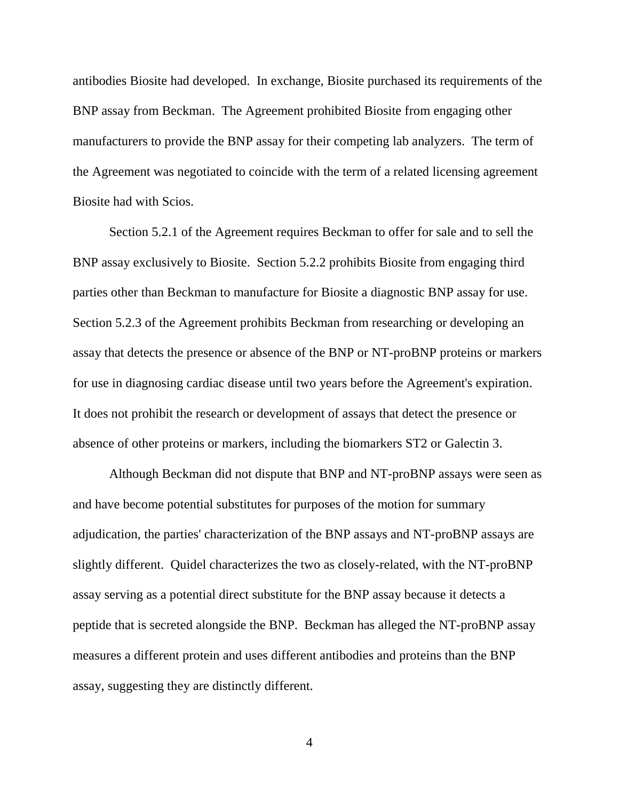antibodies Biosite had developed. In exchange, Biosite purchased its requirements of the BNP assay from Beckman. The Agreement prohibited Biosite from engaging other manufacturers to provide the BNP assay for their competing lab analyzers. The term of the Agreement was negotiated to coincide with the term of a related licensing agreement Biosite had with Scios.

Section 5.2.1 of the Agreement requires Beckman to offer for sale and to sell the BNP assay exclusively to Biosite. Section 5.2.2 prohibits Biosite from engaging third parties other than Beckman to manufacture for Biosite a diagnostic BNP assay for use. Section 5.2.3 of the Agreement prohibits Beckman from researching or developing an assay that detects the presence or absence of the BNP or NT-proBNP proteins or markers for use in diagnosing cardiac disease until two years before the Agreement's expiration. It does not prohibit the research or development of assays that detect the presence or absence of other proteins or markers, including the biomarkers ST2 or Galectin 3.

Although Beckman did not dispute that BNP and NT-proBNP assays were seen as and have become potential substitutes for purposes of the motion for summary adjudication, the parties' characterization of the BNP assays and NT-proBNP assays are slightly different. Quidel characterizes the two as closely-related, with the NT-proBNP assay serving as a potential direct substitute for the BNP assay because it detects a peptide that is secreted alongside the BNP. Beckman has alleged the NT-proBNP assay measures a different protein and uses different antibodies and proteins than the BNP assay, suggesting they are distinctly different.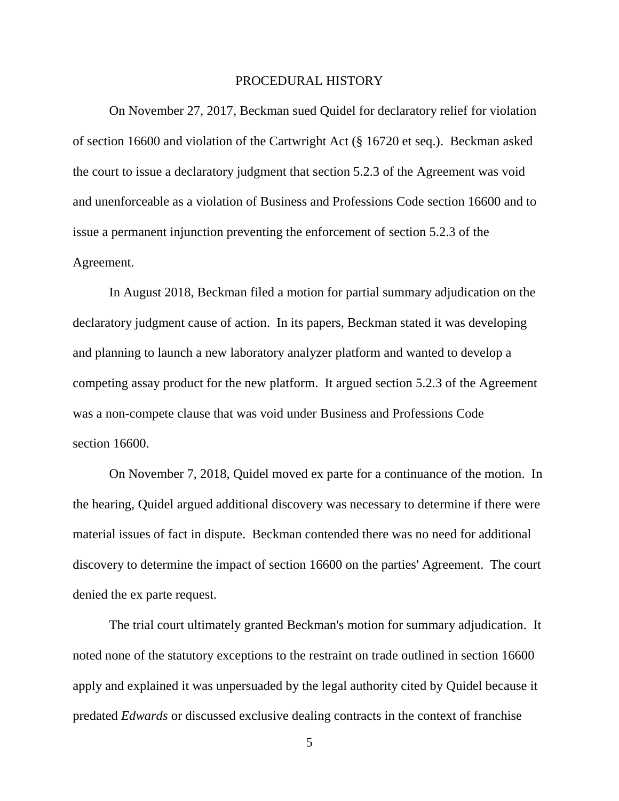### PROCEDURAL HISTORY

On November 27, 2017, Beckman sued Quidel for declaratory relief for violation of section 16600 and violation of the Cartwright Act (§ 16720 et seq.). Beckman asked the court to issue a declaratory judgment that section 5.2.3 of the Agreement was void and unenforceable as a violation of Business and Professions Code section 16600 and to issue a permanent injunction preventing the enforcement of section 5.2.3 of the Agreement.

In August 2018, Beckman filed a motion for partial summary adjudication on the declaratory judgment cause of action. In its papers, Beckman stated it was developing and planning to launch a new laboratory analyzer platform and wanted to develop a competing assay product for the new platform. It argued section 5.2.3 of the Agreement was a non-compete clause that was void under Business and Professions Code section 16600.

On November 7, 2018, Quidel moved ex parte for a continuance of the motion. In the hearing, Quidel argued additional discovery was necessary to determine if there were material issues of fact in dispute. Beckman contended there was no need for additional discovery to determine the impact of section 16600 on the parties' Agreement. The court denied the ex parte request.

The trial court ultimately granted Beckman's motion for summary adjudication. It noted none of the statutory exceptions to the restraint on trade outlined in section 16600 apply and explained it was unpersuaded by the legal authority cited by Quidel because it predated *Edwards* or discussed exclusive dealing contracts in the context of franchise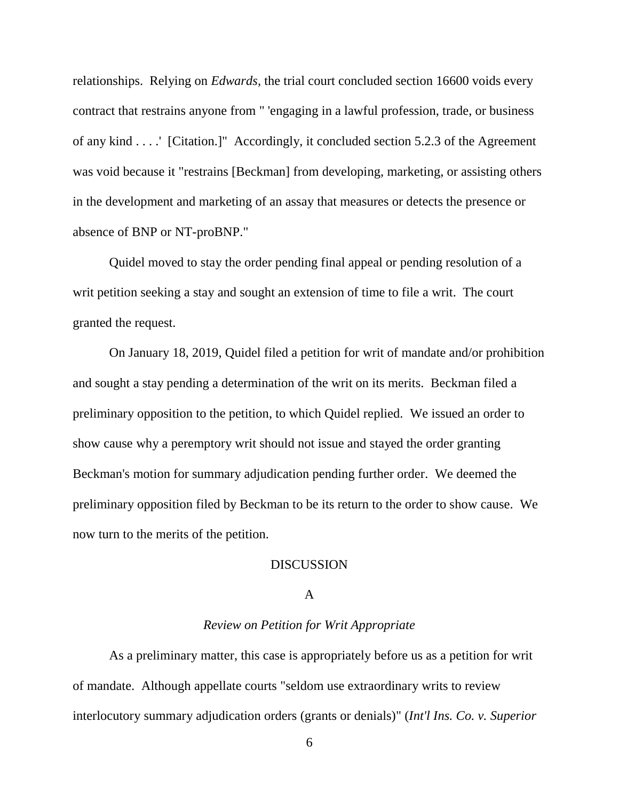relationships. Relying on *Edwards,* the trial court concluded section 16600 voids every contract that restrains anyone from " 'engaging in a lawful profession, trade, or business of any kind . . . .' [Citation.]" Accordingly, it concluded section 5.2.3 of the Agreement was void because it "restrains [Beckman] from developing, marketing, or assisting others in the development and marketing of an assay that measures or detects the presence or absence of BNP or NT-proBNP."

Quidel moved to stay the order pending final appeal or pending resolution of a writ petition seeking a stay and sought an extension of time to file a writ. The court granted the request.

On January 18, 2019, Quidel filed a petition for writ of mandate and/or prohibition and sought a stay pending a determination of the writ on its merits. Beckman filed a preliminary opposition to the petition, to which Quidel replied. We issued an order to show cause why a peremptory writ should not issue and stayed the order granting Beckman's motion for summary adjudication pending further order. We deemed the preliminary opposition filed by Beckman to be its return to the order to show cause. We now turn to the merits of the petition.

### **DISCUSSION**

# A

### *Review on Petition for Writ Appropriate*

As a preliminary matter, this case is appropriately before us as a petition for writ of mandate. Although appellate courts "seldom use extraordinary writs to review interlocutory summary adjudication orders (grants or denials)" (*Int'l Ins. Co. v. Superior*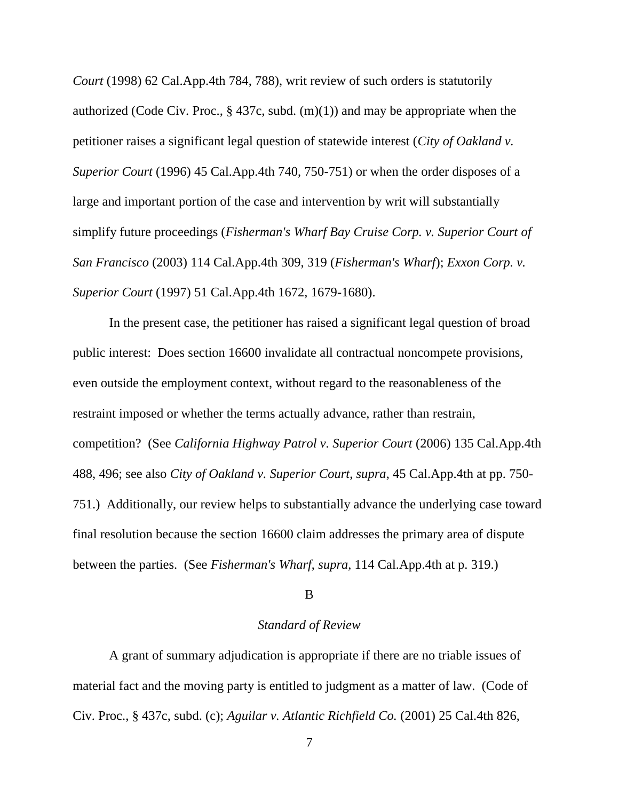*Court* (1998) 62 Cal.App.4th 784, 788), writ review of such orders is statutorily authorized (Code Civ. Proc.,  $\S$  437c, subd. (m)(1)) and may be appropriate when the petitioner raises a significant legal question of statewide interest (*City of Oakland v. Superior Court* (1996) 45 Cal.App.4th 740, 750-751) or when the order disposes of a large and important portion of the case and intervention by writ will substantially simplify future proceedings (*Fisherman's Wharf Bay Cruise Corp. v. Superior Court of San Francisco* (2003) 114 Cal.App.4th 309, 319 (*Fisherman's Wharf*); *Exxon Corp. v. Superior Court* (1997) 51 Cal.App.4th 1672, 1679-1680).

In the present case, the petitioner has raised a significant legal question of broad public interest: Does section 16600 invalidate all contractual noncompete provisions, even outside the employment context, without regard to the reasonableness of the restraint imposed or whether the terms actually advance, rather than restrain, competition? (See *California Highway Patrol v. Superior Court* (2006) 135 Cal.App.4th 488, 496; see also *City of Oakland v. Superior Court*, *supra*, 45 Cal.App.4th at pp. 750- 751.) Additionally, our review helps to substantially advance the underlying case toward final resolution because the section 16600 claim addresses the primary area of dispute between the parties. (See *Fisherman's Wharf*, *supra*, 114 Cal.App.4th at p. 319.)

### B

### *Standard of Review*

A grant of summary adjudication is appropriate if there are no triable issues of material fact and the moving party is entitled to judgment as a matter of law. (Code of Civ. Proc., § 437c, subd. (c); *Aguilar v. Atlantic Richfield Co.* (2001) 25 Cal.4th 826,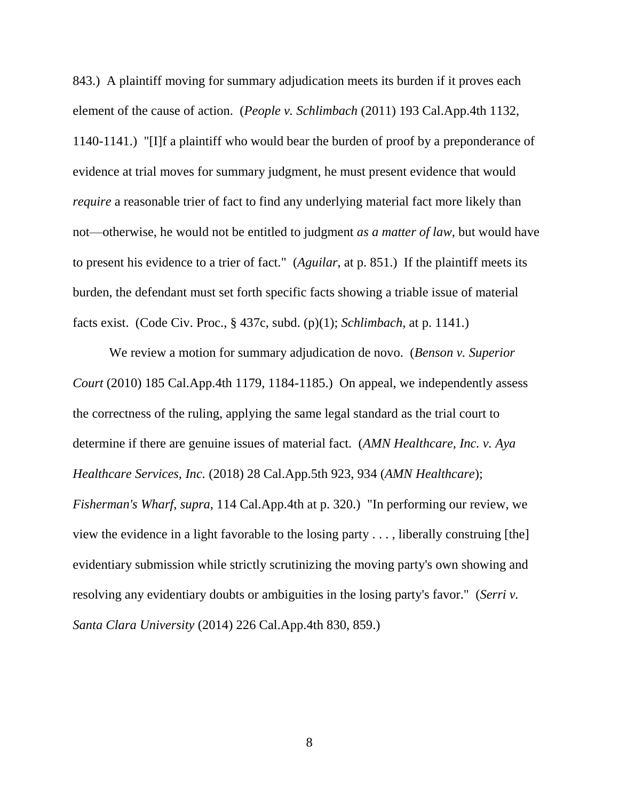843.) A plaintiff moving for summary adjudication meets its burden if it proves each element of the cause of action. (*People v. Schlimbach* (2011) 193 Cal.App.4th 1132, 1140-1141.) "[I]f a plaintiff who would bear the burden of proof by a preponderance of evidence at trial moves for summary judgment, he must present evidence that would *require* a reasonable trier of fact to find any underlying material fact more likely than not—otherwise, he would not be entitled to judgment *as a matter of law*, but would have to present his evidence to a trier of fact." (*Aguilar*, at p. 851.) If the plaintiff meets its burden, the defendant must set forth specific facts showing a triable issue of material facts exist. (Code Civ. Proc., § 437c, subd. (p)(1); *Schlimbach*, at p. 1141.)

We review a motion for summary adjudication de novo. (*Benson v. Superior Court* (2010) 185 Cal.App.4th 1179, 1184-1185.) On appeal, we independently assess the correctness of the ruling, applying the same legal standard as the trial court to determine if there are genuine issues of material fact. (*AMN Healthcare, Inc. v. Aya Healthcare Services, Inc.* (2018) 28 Cal.App.5th 923, 934 (*AMN Healthcare*); *Fisherman's Wharf*, *supra*, 114 Cal.App.4th at p. 320.) "In performing our review, we view the evidence in a light favorable to the losing party  $\dots$ , liberally construing [the] evidentiary submission while strictly scrutinizing the moving party's own showing and resolving any evidentiary doubts or ambiguities in the losing party's favor." (*Serri v. Santa Clara University* (2014) 226 Cal.App.4th 830, 859.)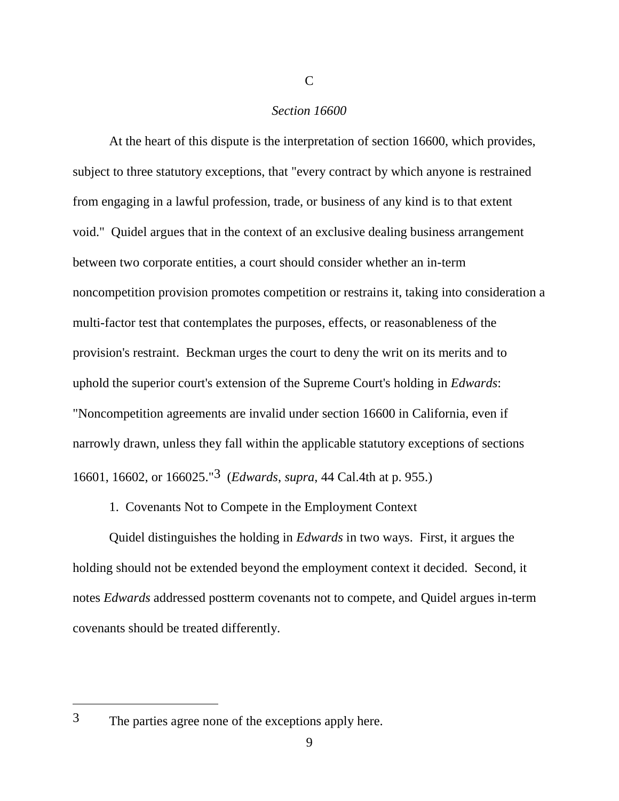### *Section 16600*

 $\mathcal{C}$ 

At the heart of this dispute is the interpretation of section 16600, which provides, subject to three statutory exceptions, that "every contract by which anyone is restrained from engaging in a lawful profession, trade, or business of any kind is to that extent void." Quidel argues that in the context of an exclusive dealing business arrangement between two corporate entities, a court should consider whether an in-term noncompetition provision promotes competition or restrains it, taking into consideration a multi-factor test that contemplates the purposes, effects, or reasonableness of the provision's restraint. Beckman urges the court to deny the writ on its merits and to uphold the superior court's extension of the Supreme Court's holding in *Edwards*: "Noncompetition agreements are invalid under section 16600 in California, even if narrowly drawn, unless they fall within the applicable statutory exceptions of sections 16601, 16602, or 166025."3 (*Edwards*, *supra*, 44 Cal.4th at p. 955.)

1. Covenants Not to Compete in the Employment Context

Quidel distinguishes the holding in *Edwards* in two ways. First, it argues the holding should not be extended beyond the employment context it decided. Second, it notes *Edwards* addressed postterm covenants not to compete, and Quidel argues in-term covenants should be treated differently.

 $\overline{a}$ 

<sup>3</sup> The parties agree none of the exceptions apply here.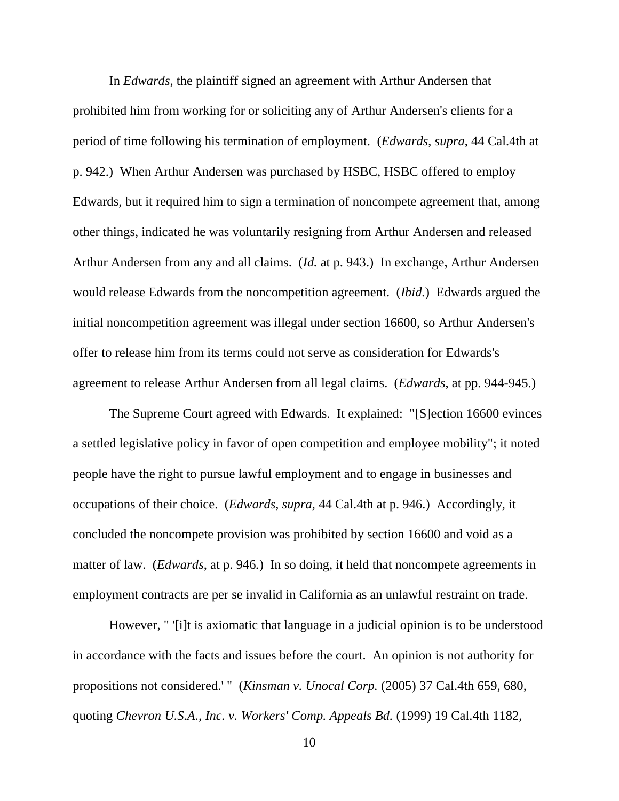In *Edwards*, the plaintiff signed an agreement with Arthur Andersen that prohibited him from working for or soliciting any of Arthur Andersen's clients for a period of time following his termination of employment. (*Edwards*, *supra*, 44 Cal.4th at p. 942.) When Arthur Andersen was purchased by HSBC, HSBC offered to employ Edwards, but it required him to sign a termination of noncompete agreement that, among other things, indicated he was voluntarily resigning from Arthur Andersen and released Arthur Andersen from any and all claims. (*Id.* at p. 943.) In exchange, Arthur Andersen would release Edwards from the noncompetition agreement. (*Ibid.*) Edwards argued the initial noncompetition agreement was illegal under section 16600, so Arthur Andersen's offer to release him from its terms could not serve as consideration for Edwards's agreement to release Arthur Andersen from all legal claims. (*Edwards*, at pp. 944-945.)

The Supreme Court agreed with Edwards. It explained: "[S]ection 16600 evinces a settled legislative policy in favor of open competition and employee mobility"; it noted people have the right to pursue lawful employment and to engage in businesses and occupations of their choice. (*Edwards*, *supra*, 44 Cal.4th at p. 946.) Accordingly, it concluded the noncompete provision was prohibited by section 16600 and void as a matter of law. (*Edwards*, at p. 946*.*) In so doing, it held that noncompete agreements in employment contracts are per se invalid in California as an unlawful restraint on trade.

However, " '[i]t is axiomatic that language in a judicial opinion is to be understood in accordance with the facts and issues before the court. An opinion is not authority for propositions not considered.' " (*Kinsman v. Unocal Corp.* (2005) 37 Cal.4th 659, 680, quoting *Chevron U.S.A., Inc. v. Workers' Comp. Appeals Bd.* (1999) 19 Cal.4th 1182,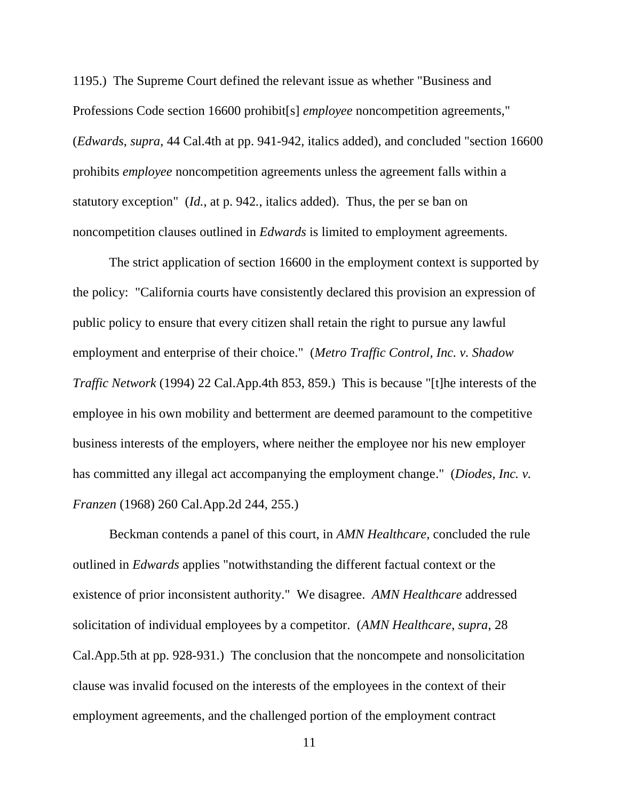1195.) The Supreme Court defined the relevant issue as whether "Business and Professions Code section 16600 prohibit[s] *employee* noncompetition agreements," (*Edwards*, *supra*, 44 Cal.4th at pp. 941-942*,* italics added), and concluded "section 16600 prohibits *employee* noncompetition agreements unless the agreement falls within a statutory exception" (*Id.*, at p. 942*.*, italics added). Thus, the per se ban on noncompetition clauses outlined in *Edwards* is limited to employment agreements.

The strict application of section 16600 in the employment context is supported by the policy: "California courts have consistently declared this provision an expression of public policy to ensure that every citizen shall retain the right to pursue any lawful employment and enterprise of their choice." (*Metro Traffic Control, Inc. v. Shadow Traffic Network* (1994) 22 Cal.App.4th 853, 859.) This is because "[t]he interests of the employee in his own mobility and betterment are deemed paramount to the competitive business interests of the employers, where neither the employee nor his new employer has committed any illegal act accompanying the employment change." (*Diodes, Inc. v. Franzen* (1968) 260 Cal.App.2d 244, 255.)

Beckman contends a panel of this court, in *AMN Healthcare*, concluded the rule outlined in *Edwards* applies "notwithstanding the different factual context or the existence of prior inconsistent authority." We disagree. *AMN Healthcare* addressed solicitation of individual employees by a competitor. (*AMN Healthcare*, *supra*, 28 Cal.App.5th at pp. 928-931.) The conclusion that the noncompete and nonsolicitation clause was invalid focused on the interests of the employees in the context of their employment agreements, and the challenged portion of the employment contract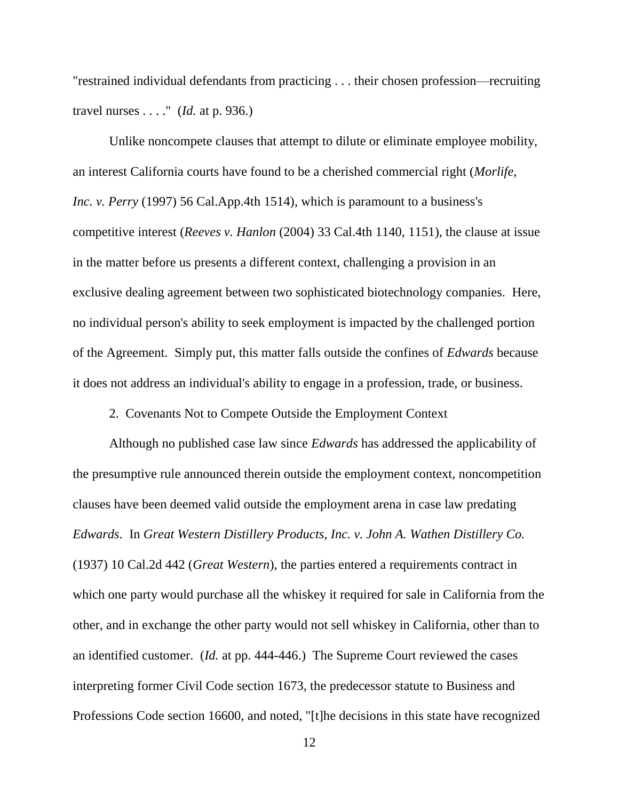"restrained individual defendants from practicing . . . their chosen profession—recruiting travel nurses . . . ." (*Id.* at p. 936.)

Unlike noncompete clauses that attempt to dilute or eliminate employee mobility, an interest California courts have found to be a cherished commercial right (*Morlife, Inc. v. Perry* (1997) 56 Cal.App.4th 1514), which is paramount to a business's competitive interest (*Reeves v. Hanlon* (2004) 33 Cal.4th 1140, 1151), the clause at issue in the matter before us presents a different context, challenging a provision in an exclusive dealing agreement between two sophisticated biotechnology companies. Here, no individual person's ability to seek employment is impacted by the challenged portion of the Agreement. Simply put, this matter falls outside the confines of *Edwards* because it does not address an individual's ability to engage in a profession, trade, or business.

2. Covenants Not to Compete Outside the Employment Context

Although no published case law since *Edwards* has addressed the applicability of the presumptive rule announced therein outside the employment context, noncompetition clauses have been deemed valid outside the employment arena in case law predating *Edwards*. In *Great Western Distillery Products, Inc. v. John A. Wathen Distillery Co.*  (1937) 10 Cal.2d 442 (*Great Western*), the parties entered a requirements contract in which one party would purchase all the whiskey it required for sale in California from the other, and in exchange the other party would not sell whiskey in California, other than to an identified customer. (*Id.* at pp. 444-446.) The Supreme Court reviewed the cases interpreting former Civil Code section 1673, the predecessor statute to Business and Professions Code section 16600, and noted, "[t]he decisions in this state have recognized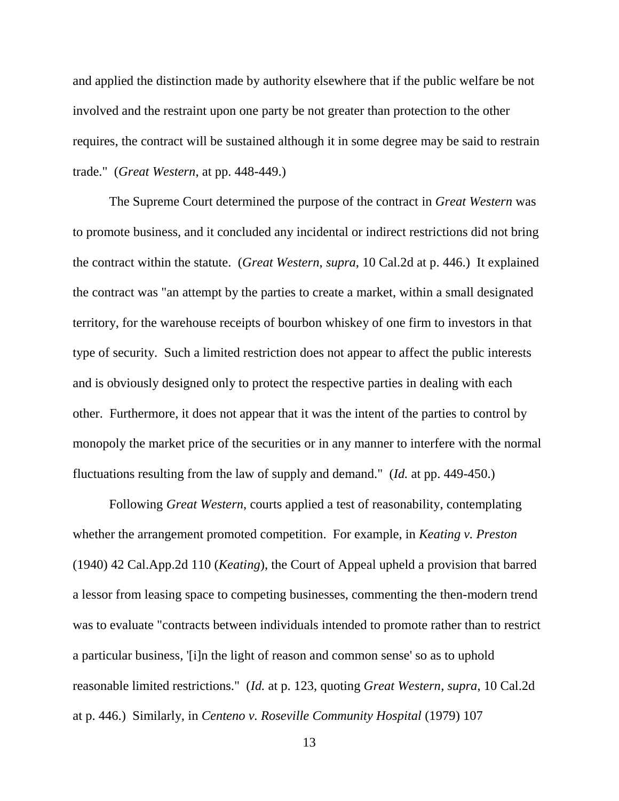and applied the distinction made by authority elsewhere that if the public welfare be not involved and the restraint upon one party be not greater than protection to the other requires, the contract will be sustained although it in some degree may be said to restrain trade." (*Great Western*, at pp. 448-449.)

The Supreme Court determined the purpose of the contract in *Great Western* was to promote business, and it concluded any incidental or indirect restrictions did not bring the contract within the statute. (*Great Western*, *supra*, 10 Cal.2d at p. 446.) It explained the contract was "an attempt by the parties to create a market, within a small designated territory, for the warehouse receipts of bourbon whiskey of one firm to investors in that type of security. Such a limited restriction does not appear to affect the public interests and is obviously designed only to protect the respective parties in dealing with each other. Furthermore, it does not appear that it was the intent of the parties to control by monopoly the market price of the securities or in any manner to interfere with the normal fluctuations resulting from the law of supply and demand." (*Id.* at pp. 449-450.)

Following *Great Western*, courts applied a test of reasonability, contemplating whether the arrangement promoted competition. For example, in *Keating v. Preston*  (1940) 42 Cal.App.2d 110 (*Keating*), the Court of Appeal upheld a provision that barred a lessor from leasing space to competing businesses, commenting the then-modern trend was to evaluate "contracts between individuals intended to promote rather than to restrict a particular business, '[i]n the light of reason and common sense' so as to uphold reasonable limited restrictions." (*Id.* at p. 123, quoting *Great Western*, *supra*, 10 Cal.2d at p. 446.) Similarly, in *Centeno v. Roseville Community Hospital* (1979) 107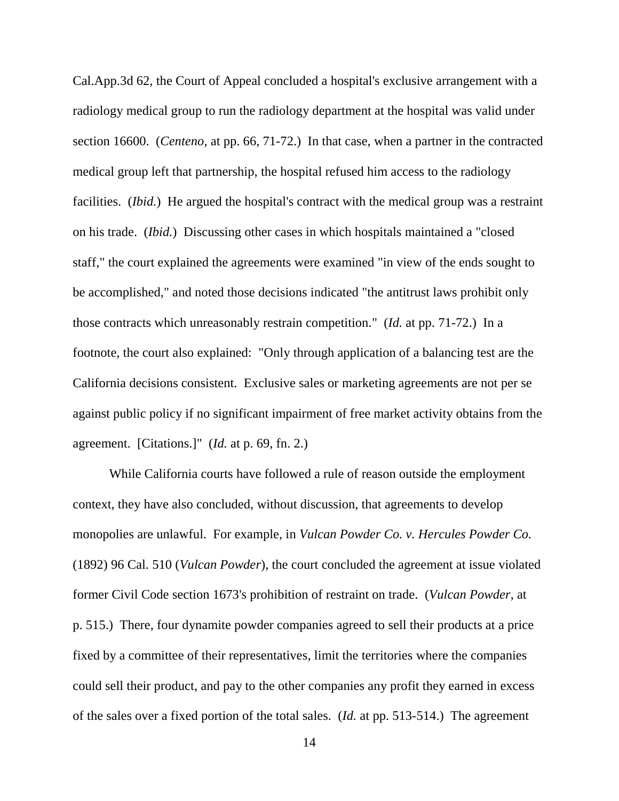Cal.App.3d 62, the Court of Appeal concluded a hospital's exclusive arrangement with a radiology medical group to run the radiology department at the hospital was valid under section 16600. (*Centeno*, at pp. 66, 71-72.) In that case, when a partner in the contracted medical group left that partnership, the hospital refused him access to the radiology facilities. (*Ibid.*) He argued the hospital's contract with the medical group was a restraint on his trade. (*Ibid.*) Discussing other cases in which hospitals maintained a "closed staff," the court explained the agreements were examined "in view of the ends sought to be accomplished," and noted those decisions indicated "the antitrust laws prohibit only those contracts which unreasonably restrain competition." (*Id.* at pp. 71-72.) In a footnote, the court also explained: "Only through application of a balancing test are the California decisions consistent. Exclusive sales or marketing agreements are not per se against public policy if no significant impairment of free market activity obtains from the agreement. [Citations.]" (*Id.* at p. 69, fn. 2.)

While California courts have followed a rule of reason outside the employment context, they have also concluded, without discussion, that agreements to develop monopolies are unlawful. For example, in *Vulcan Powder Co. v. Hercules Powder Co.*  (1892) 96 Cal. 510 (*Vulcan Powder*), the court concluded the agreement at issue violated former Civil Code section 1673's prohibition of restraint on trade. (*Vulcan Powder*, at p. 515.) There, four dynamite powder companies agreed to sell their products at a price fixed by a committee of their representatives, limit the territories where the companies could sell their product, and pay to the other companies any profit they earned in excess of the sales over a fixed portion of the total sales. (*Id.* at pp. 513-514.) The agreement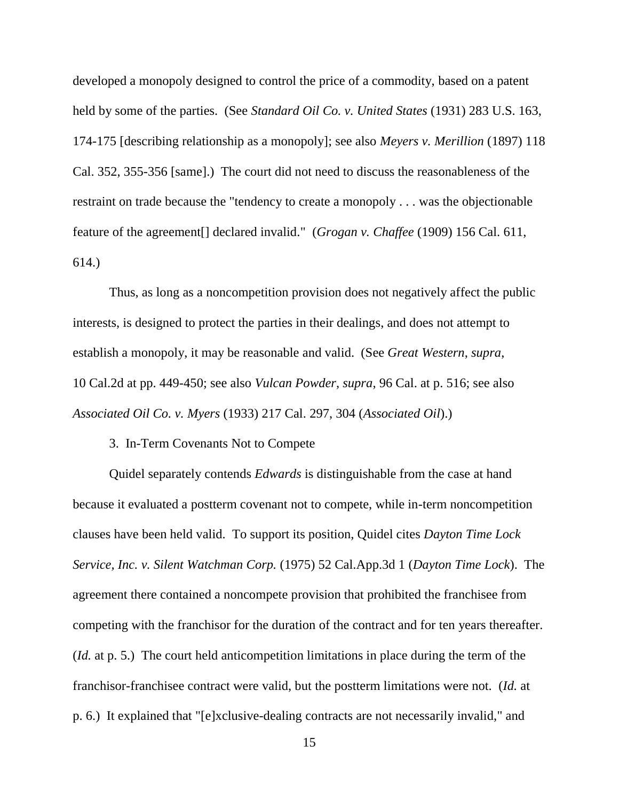developed a monopoly designed to control the price of a commodity, based on a patent held by some of the parties. (See *Standard Oil Co. v. United States* (1931) 283 U.S. 163, 174-175 [describing relationship as a monopoly]; see also *Meyers v. Merillion* (1897) 118 Cal. 352, 355-356 [same].) The court did not need to discuss the reasonableness of the restraint on trade because the "tendency to create a monopoly . . . was the objectionable feature of the agreement[] declared invalid." (*Grogan v. Chaffee* (1909) 156 Cal. 611, 614.)

Thus, as long as a noncompetition provision does not negatively affect the public interests, is designed to protect the parties in their dealings, and does not attempt to establish a monopoly, it may be reasonable and valid. (See *Great Western*, *supra*, 10 Cal.2d at pp. 449-450; see also *Vulcan Powder*, *supra*, 96 Cal. at p. 516; see also *Associated Oil Co. v. Myers* (1933) 217 Cal. 297, 304 (*Associated Oil*).)

### 3. In-Term Covenants Not to Compete

Quidel separately contends *Edwards* is distinguishable from the case at hand because it evaluated a postterm covenant not to compete, while in-term noncompetition clauses have been held valid. To support its position, Quidel cites *Dayton Time Lock Service, Inc. v. Silent Watchman Corp.* (1975) 52 Cal.App.3d 1 (*Dayton Time Lock*). The agreement there contained a noncompete provision that prohibited the franchisee from competing with the franchisor for the duration of the contract and for ten years thereafter. (*Id.* at p. 5.) The court held anticompetition limitations in place during the term of the franchisor-franchisee contract were valid, but the postterm limitations were not. (*Id.* at p. 6.) It explained that "[e]xclusive-dealing contracts are not necessarily invalid," and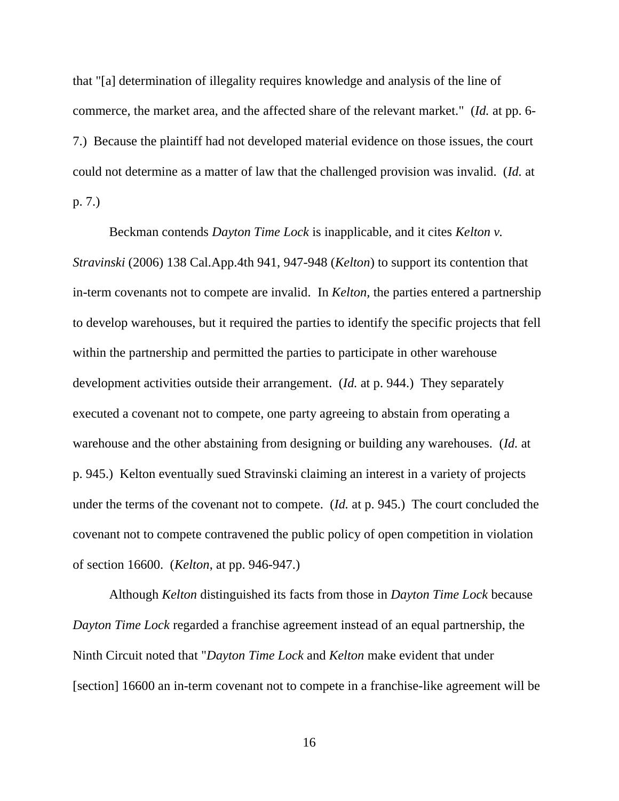that "[a] determination of illegality requires knowledge and analysis of the line of commerce, the market area, and the affected share of the relevant market." (*Id.* at pp. 6- 7.) Because the plaintiff had not developed material evidence on those issues, the court could not determine as a matter of law that the challenged provision was invalid. (*Id.* at p. 7.)

Beckman contends *Dayton Time Lock* is inapplicable, and it cites *Kelton v. Stravinski* (2006) 138 Cal.App.4th 941, 947-948 (*Kelton*) to support its contention that in-term covenants not to compete are invalid. In *Kelton,* the parties entered a partnership to develop warehouses, but it required the parties to identify the specific projects that fell within the partnership and permitted the parties to participate in other warehouse development activities outside their arrangement. (*Id.* at p. 944.) They separately executed a covenant not to compete, one party agreeing to abstain from operating a warehouse and the other abstaining from designing or building any warehouses. (*Id.* at p. 945.) Kelton eventually sued Stravinski claiming an interest in a variety of projects under the terms of the covenant not to compete. (*Id.* at p. 945.) The court concluded the covenant not to compete contravened the public policy of open competition in violation of section 16600. (*Kelton*, at pp. 946-947.)

Although *Kelton* distinguished its facts from those in *Dayton Time Lock* because *Dayton Time Lock* regarded a franchise agreement instead of an equal partnership, the Ninth Circuit noted that "*Dayton Time Lock* and *Kelton* make evident that under [section] 16600 an in-term covenant not to compete in a franchise-like agreement will be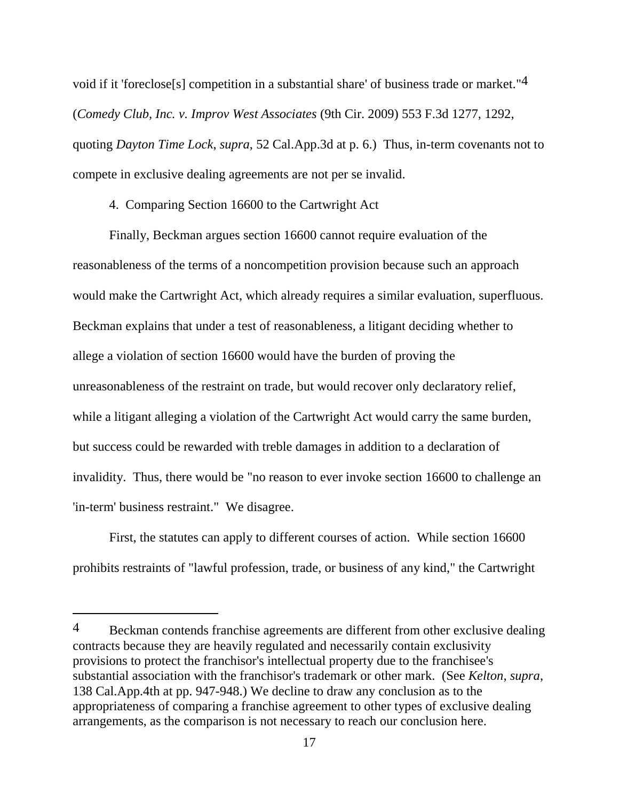void if it 'foreclose[s] competition in a substantial share' of business trade or market."4 (*Comedy Club, Inc. v. Improv West Associates* (9th Cir. 2009) 553 F.3d 1277, 1292, quoting *Dayton Time Lock*, *supra*, 52 Cal.App.3d at p. 6.) Thus, in-term covenants not to compete in exclusive dealing agreements are not per se invalid.

4. Comparing Section 16600 to the Cartwright Act

Finally, Beckman argues section 16600 cannot require evaluation of the reasonableness of the terms of a noncompetition provision because such an approach would make the Cartwright Act, which already requires a similar evaluation, superfluous. Beckman explains that under a test of reasonableness, a litigant deciding whether to allege a violation of section 16600 would have the burden of proving the unreasonableness of the restraint on trade, but would recover only declaratory relief, while a litigant alleging a violation of the Cartwright Act would carry the same burden, but success could be rewarded with treble damages in addition to a declaration of invalidity. Thus, there would be "no reason to ever invoke section 16600 to challenge an 'in-term' business restraint." We disagree.

First, the statutes can apply to different courses of action. While section 16600 prohibits restraints of "lawful profession, trade, or business of any kind," the Cartwright

 $\overline{a}$ 

<sup>4</sup> Beckman contends franchise agreements are different from other exclusive dealing contracts because they are heavily regulated and necessarily contain exclusivity provisions to protect the franchisor's intellectual property due to the franchisee's substantial association with the franchisor's trademark or other mark. (See *Kelton*, *supra*, 138 Cal.App.4th at pp. 947-948.) We decline to draw any conclusion as to the appropriateness of comparing a franchise agreement to other types of exclusive dealing arrangements, as the comparison is not necessary to reach our conclusion here.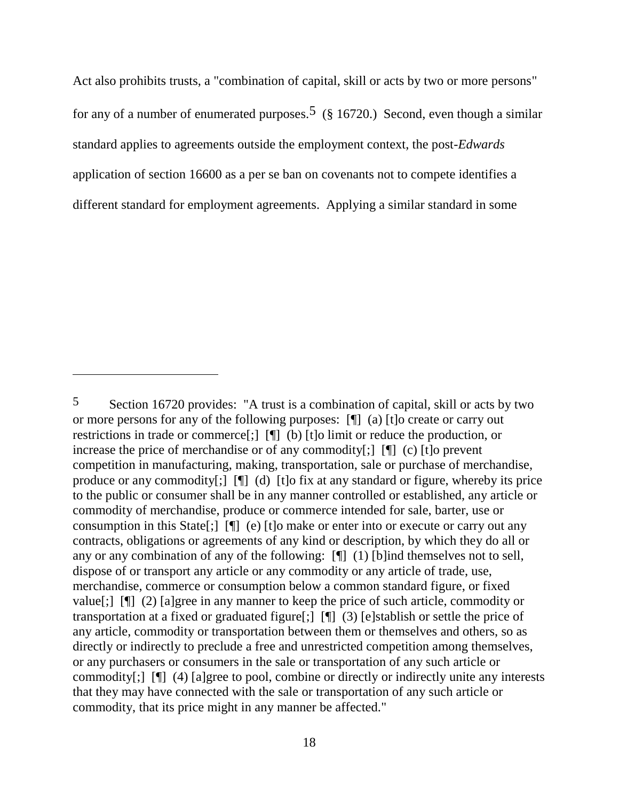Act also prohibits trusts, a "combination of capital, skill or acts by two or more persons" for any of a number of enumerated purposes.<sup>5</sup> (§ 16720.) Second, even though a similar standard applies to agreements outside the employment context, the post-*Edwards*  application of section 16600 as a per se ban on covenants not to compete identifies a different standard for employment agreements. Applying a similar standard in some

<sup>5</sup> Section 16720 provides: "A trust is a combination of capital, skill or acts by two or more persons for any of the following purposes: [¶] (a) [t]o create or carry out restrictions in trade or commerce[;] [¶] (b) [t]o limit or reduce the production, or increase the price of merchandise or of any commodity[;] [¶] (c) [t]o prevent competition in manufacturing, making, transportation, sale or purchase of merchandise, produce or any commodity[;] [¶] (d) [t]o fix at any standard or figure, whereby its price to the public or consumer shall be in any manner controlled or established, any article or commodity of merchandise, produce or commerce intended for sale, barter, use or consumption in this State[;] [¶] (e) [t]o make or enter into or execute or carry out any contracts, obligations or agreements of any kind or description, by which they do all or any or any combination of any of the following: [¶] (1) [b]ind themselves not to sell, dispose of or transport any article or any commodity or any article of trade, use, merchandise, commerce or consumption below a common standard figure, or fixed value[;] [¶] (2) [a]gree in any manner to keep the price of such article, commodity or transportation at a fixed or graduated figure[;] [¶] (3) [e]stablish or settle the price of any article, commodity or transportation between them or themselves and others, so as directly or indirectly to preclude a free and unrestricted competition among themselves, or any purchasers or consumers in the sale or transportation of any such article or commodity[;] [¶] (4) [a]gree to pool, combine or directly or indirectly unite any interests that they may have connected with the sale or transportation of any such article or commodity, that its price might in any manner be affected."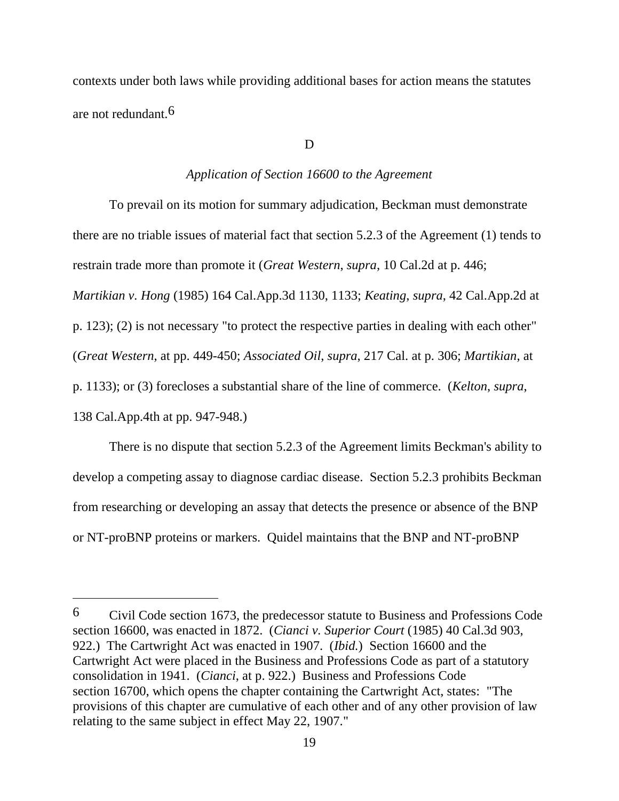contexts under both laws while providing additional bases for action means the statutes are not redundant.6

D

### *Application of Section 16600 to the Agreement*

To prevail on its motion for summary adjudication, Beckman must demonstrate there are no triable issues of material fact that section 5.2.3 of the Agreement (1) tends to restrain trade more than promote it (*Great Western*, *supra*, 10 Cal.2d at p. 446; *Martikian v. Hong* (1985) 164 Cal.App.3d 1130, 1133; *Keating*, *supra*, 42 Cal.App.2d at p. 123); (2) is not necessary "to protect the respective parties in dealing with each other" (*Great Western*, at pp. 449-450; *Associated Oil*, *supra*, 217 Cal. at p. 306; *Martikian*, at p. 1133); or (3) forecloses a substantial share of the line of commerce. (*Kelton*, *supra*, 138 Cal.App.4th at pp. 947-948.)

There is no dispute that section 5.2.3 of the Agreement limits Beckman's ability to develop a competing assay to diagnose cardiac disease. Section 5.2.3 prohibits Beckman from researching or developing an assay that detects the presence or absence of the BNP or NT-proBNP proteins or markers. Quidel maintains that the BNP and NT-proBNP

 $\overline{a}$ 

<sup>6</sup> Civil Code section 1673, the predecessor statute to Business and Professions Code section 16600, was enacted in 1872. (*Cianci v. Superior Court* (1985) 40 Cal.3d 903, 922.) The Cartwright Act was enacted in 1907. (*Ibid.*) Section 16600 and the Cartwright Act were placed in the Business and Professions Code as part of a statutory consolidation in 1941. (*Cianci*, at p. 922.) Business and Professions Code section 16700, which opens the chapter containing the Cartwright Act, states: "The provisions of this chapter are cumulative of each other and of any other provision of law relating to the same subject in effect May 22, 1907."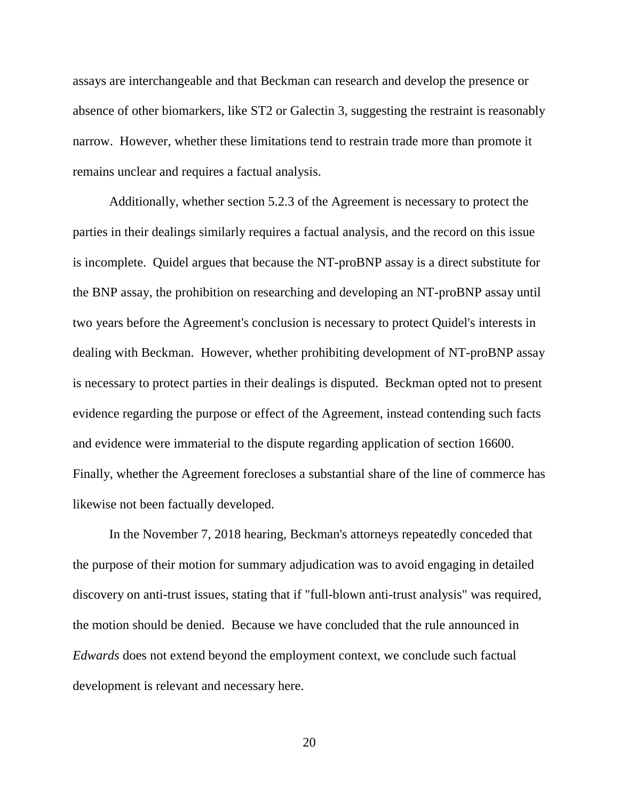assays are interchangeable and that Beckman can research and develop the presence or absence of other biomarkers, like ST2 or Galectin 3, suggesting the restraint is reasonably narrow. However, whether these limitations tend to restrain trade more than promote it remains unclear and requires a factual analysis.

Additionally, whether section 5.2.3 of the Agreement is necessary to protect the parties in their dealings similarly requires a factual analysis, and the record on this issue is incomplete. Quidel argues that because the NT-proBNP assay is a direct substitute for the BNP assay, the prohibition on researching and developing an NT-proBNP assay until two years before the Agreement's conclusion is necessary to protect Quidel's interests in dealing with Beckman. However, whether prohibiting development of NT-proBNP assay is necessary to protect parties in their dealings is disputed. Beckman opted not to present evidence regarding the purpose or effect of the Agreement, instead contending such facts and evidence were immaterial to the dispute regarding application of section 16600. Finally, whether the Agreement forecloses a substantial share of the line of commerce has likewise not been factually developed.

In the November 7, 2018 hearing, Beckman's attorneys repeatedly conceded that the purpose of their motion for summary adjudication was to avoid engaging in detailed discovery on anti-trust issues, stating that if "full-blown anti-trust analysis" was required, the motion should be denied. Because we have concluded that the rule announced in *Edwards* does not extend beyond the employment context, we conclude such factual development is relevant and necessary here.